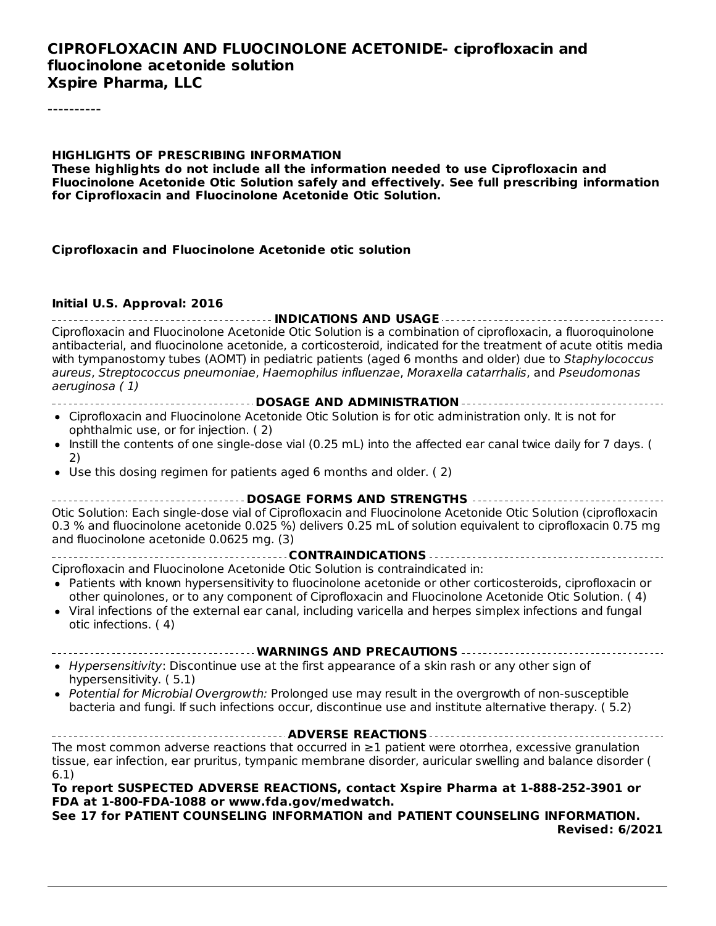#### **CIPROFLOXACIN AND FLUOCINOLONE ACETONIDE- ciprofloxacin and fluocinolone acetonide solution Xspire Pharma, LLC**

----------

#### **HIGHLIGHTS OF PRESCRIBING INFORMATION**

**These highlights do not include all the information needed to use Ciprofloxacin and Fluocinolone Acetonide Otic Solution safely and effectively. See full prescribing information for Ciprofloxacin and Fluocinolone Acetonide Otic Solution.**

#### **Ciprofloxacin and Fluocinolone Acetonide otic solution**

#### **Initial U.S. Approval: 2016**

**INDICATIONS AND USAGE** Ciprofloxacin and Fluocinolone Acetonide Otic Solution is a combination of ciprofloxacin, a fluoroquinolone antibacterial, and fluocinolone acetonide, a corticosteroid, indicated for the treatment of acute otitis media with tympanostomy tubes (AOMT) in pediatric patients (aged 6 months and older) due to Staphylococcus aureus, Streptococcus pneumoniae, Haemophilus influenzae, Moraxella catarrhalis, and Pseudomonas aeruginosa ( 1)

- **DOSAGE AND ADMINISTRATION**
- Ciprofloxacin and Fluocinolone Acetonide Otic Solution is for otic administration only. It is not for ophthalmic use, or for injection. ( 2)
- Instill the contents of one single-dose vial (0.25 mL) into the affected ear canal twice daily for 7 days. (  $\bullet$ 2)
- Use this dosing regimen for patients aged 6 months and older. ( 2)

**DOSAGE FORMS AND STRENGTHS** Otic Solution: Each single-dose vial of Ciprofloxacin and Fluocinolone Acetonide Otic Solution (ciprofloxacin 0.3 % and fluocinolone acetonide 0.025 %) delivers 0.25 mL of solution equivalent to ciprofloxacin 0.75 mg and fluocinolone acetonide 0.0625 mg. (3)

**CONTRAINDICATIONS**

- Ciprofloxacin and Fluocinolone Acetonide Otic Solution is contraindicated in:
- Patients with known hypersensitivity to fluocinolone acetonide or other corticosteroids, ciprofloxacin or other quinolones, or to any component of Ciprofloxacin and Fluocinolone Acetonide Otic Solution. ( 4)
- Viral infections of the external ear canal, including varicella and herpes simplex infections and fungal otic infections. ( 4)

# **WARNINGS AND PRECAUTIONS**

- $\bullet$  Hypersensitivity: Discontinue use at the first appearance of a skin rash or any other sign of hypersensitivity. ( 5.1)
- Potential for Microbial Overgrowth: Prolonged use may result in the overgrowth of non-susceptible bacteria and fungi. If such infections occur, discontinue use and institute alternative therapy. ( 5.2)

**ADVERSE REACTIONS** The most common adverse reactions that occurred in ≥1 patient were otorrhea, excessive granulation tissue, ear infection, ear pruritus, tympanic membrane disorder, auricular swelling and balance disorder ( 6.1)

#### **To report SUSPECTED ADVERSE REACTIONS, contact Xspire Pharma at 1-888-252-3901 or FDA at 1-800-FDA-1088 or www.fda.gov/medwatch.**

**See 17 for PATIENT COUNSELING INFORMATION and PATIENT COUNSELING INFORMATION. Revised: 6/2021**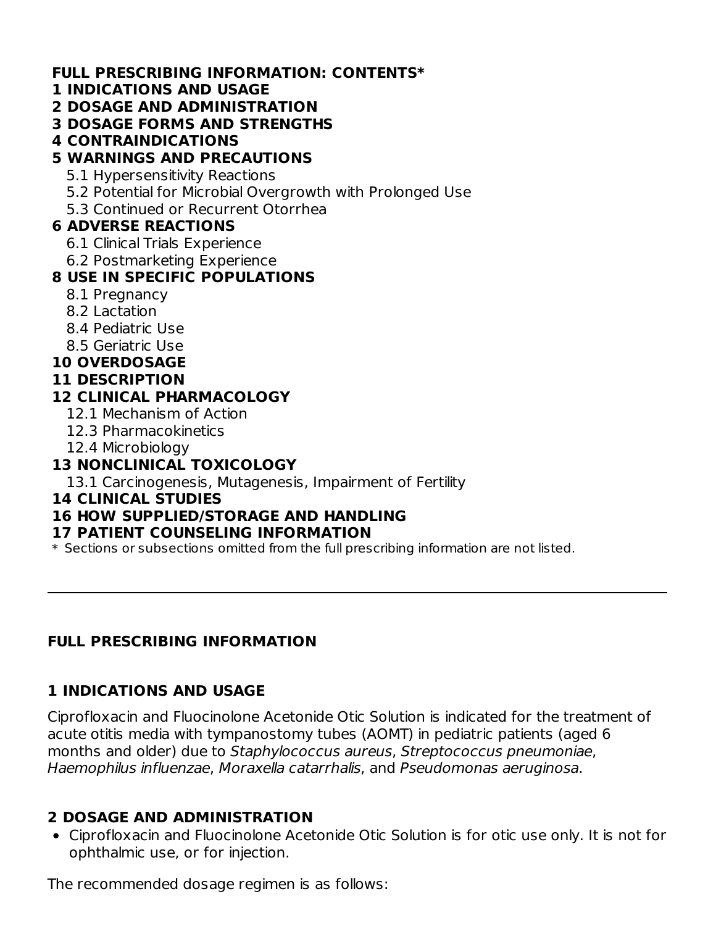### **FULL PRESCRIBING INFORMATION: CONTENTS\***

#### **1 INDICATIONS AND USAGE**

- **2 DOSAGE AND ADMINISTRATION**
- **3 DOSAGE FORMS AND STRENGTHS**
- **4 CONTRAINDICATIONS**

### **5 WARNINGS AND PRECAUTIONS**

- 5.1 Hypersensitivity Reactions
- 5.2 Potential for Microbial Overgrowth with Prolonged Use
- 5.3 Continued or Recurrent Otorrhea

### **6 ADVERSE REACTIONS**

- 6.1 Clinical Trials Experience
- 6.2 Postmarketing Experience

### **8 USE IN SPECIFIC POPULATIONS**

- 8.1 Pregnancy
- 8.2 Lactation
- 8.4 Pediatric Use
- 8.5 Geriatric Use
- **10 OVERDOSAGE**

#### **11 DESCRIPTION**

### **12 CLINICAL PHARMACOLOGY**

- 12.1 Mechanism of Action
- 12.3 Pharmacokinetics
- 12.4 Microbiology

## **13 NONCLINICAL TOXICOLOGY**

13.1 Carcinogenesis, Mutagenesis, Impairment of Fertility

#### **14 CLINICAL STUDIES**

# **16 HOW SUPPLIED/STORAGE AND HANDLING**

#### **17 PATIENT COUNSELING INFORMATION**

 $\ast$  Sections or subsections omitted from the full prescribing information are not listed.

# **FULL PRESCRIBING INFORMATION**

### **1 INDICATIONS AND USAGE**

Ciprofloxacin and Fluocinolone Acetonide Otic Solution is indicated for the treatment of acute otitis media with tympanostomy tubes (AOMT) in pediatric patients (aged 6 months and older) due to Staphylococcus aureus, Streptococcus pneumoniae, Haemophilus influenzae, Moraxella catarrhalis, and Pseudomonas aeruginosa.

### **2 DOSAGE AND ADMINISTRATION**

Ciprofloxacin and Fluocinolone Acetonide Otic Solution is for otic use only. It is not for ophthalmic use, or for injection.

The recommended dosage regimen is as follows: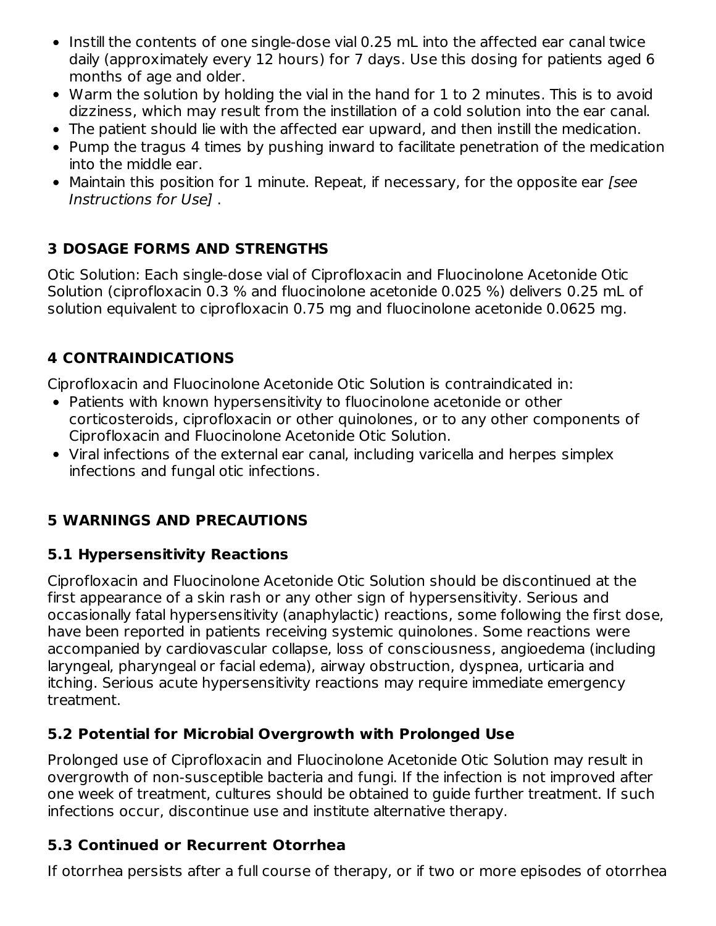- Instill the contents of one single-dose vial 0.25 mL into the affected ear canal twice daily (approximately every 12 hours) for 7 days. Use this dosing for patients aged 6 months of age and older.
- Warm the solution by holding the vial in the hand for 1 to 2 minutes. This is to avoid dizziness, which may result from the instillation of a cold solution into the ear canal.
- The patient should lie with the affected ear upward, and then instill the medication.
- Pump the tragus 4 times by pushing inward to facilitate penetration of the medication into the middle ear.
- Maintain this position for 1 minute. Repeat, if necessary, for the opposite ear [see Instructions for Use] .

# **3 DOSAGE FORMS AND STRENGTHS**

Otic Solution: Each single-dose vial of Ciprofloxacin and Fluocinolone Acetonide Otic Solution (ciprofloxacin 0.3 % and fluocinolone acetonide 0.025 %) delivers 0.25 mL of solution equivalent to ciprofloxacin 0.75 mg and fluocinolone acetonide 0.0625 mg.

# **4 CONTRAINDICATIONS**

Ciprofloxacin and Fluocinolone Acetonide Otic Solution is contraindicated in:

- Patients with known hypersensitivity to fluocinolone acetonide or other corticosteroids, ciprofloxacin or other quinolones, or to any other components of Ciprofloxacin and Fluocinolone Acetonide Otic Solution.
- Viral infections of the external ear canal, including varicella and herpes simplex infections and fungal otic infections.

# **5 WARNINGS AND PRECAUTIONS**

# **5.1 Hypersensitivity Reactions**

Ciprofloxacin and Fluocinolone Acetonide Otic Solution should be discontinued at the first appearance of a skin rash or any other sign of hypersensitivity. Serious and occasionally fatal hypersensitivity (anaphylactic) reactions, some following the first dose, have been reported in patients receiving systemic quinolones. Some reactions were accompanied by cardiovascular collapse, loss of consciousness, angioedema (including laryngeal, pharyngeal or facial edema), airway obstruction, dyspnea, urticaria and itching. Serious acute hypersensitivity reactions may require immediate emergency treatment.

### **5.2 Potential for Microbial Overgrowth with Prolonged Use**

Prolonged use of Ciprofloxacin and Fluocinolone Acetonide Otic Solution may result in overgrowth of non-susceptible bacteria and fungi. If the infection is not improved after one week of treatment, cultures should be obtained to guide further treatment. If such infections occur, discontinue use and institute alternative therapy.

# **5.3 Continued or Recurrent Otorrhea**

If otorrhea persists after a full course of therapy, or if two or more episodes of otorrhea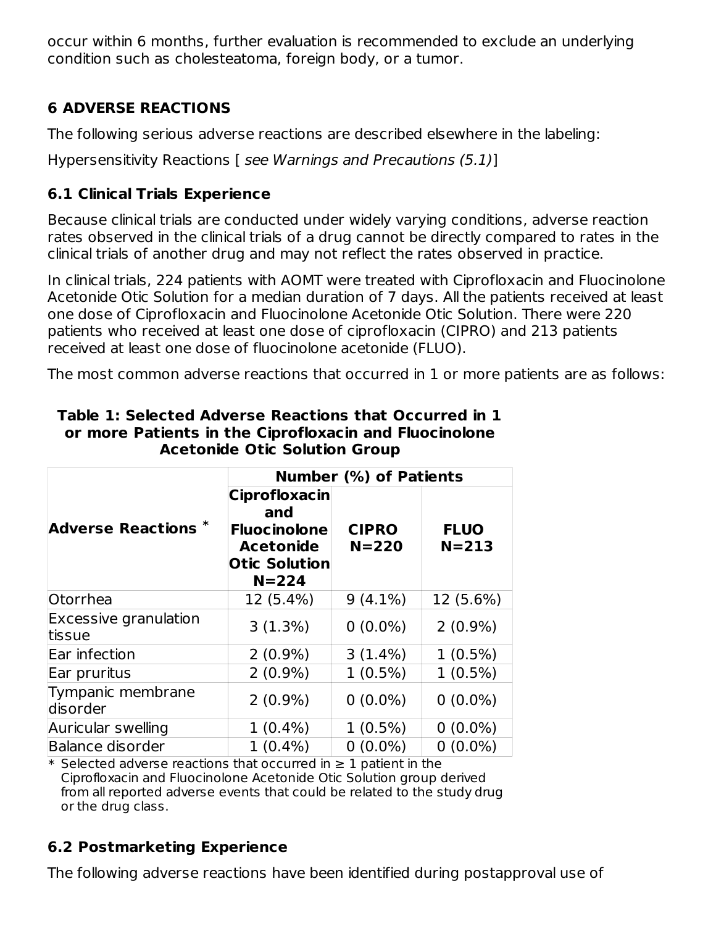occur within 6 months, further evaluation is recommended to exclude an underlying condition such as cholesteatoma, foreign body, or a tumor.

# **6 ADVERSE REACTIONS**

The following serious adverse reactions are described elsewhere in the labeling:

Hypersensitivity Reactions [ see Warnings and Precautions (5.1)]

### **6.1 Clinical Trials Experience**

Because clinical trials are conducted under widely varying conditions, adverse reaction rates observed in the clinical trials of a drug cannot be directly compared to rates in the clinical trials of another drug and may not reflect the rates observed in practice.

In clinical trials, 224 patients with AOMT were treated with Ciprofloxacin and Fluocinolone Acetonide Otic Solution for a median duration of 7 days. All the patients received at least one dose of Ciprofloxacin and Fluocinolone Acetonide Otic Solution. There were 220 patients who received at least one dose of ciprofloxacin (CIPRO) and 213 patients received at least one dose of fluocinolone acetonide (FLUO).

The most common adverse reactions that occurred in 1 or more patients are as follows:

|                                        | <b>Number (%) of Patients</b>                                                                                                            |            |                          |  |
|----------------------------------------|------------------------------------------------------------------------------------------------------------------------------------------|------------|--------------------------|--|
| <b>Adverse Reactions *</b>             | <b>Ciprofloxacin</b><br>and<br><b>CIPRO</b><br><b>Fluocinolone</b><br>$N = 220$<br><b>Acetonide</b><br><b>Otic Solution</b><br>$N = 224$ |            | <b>FLUO</b><br>$N = 213$ |  |
| Otorrhea                               | 12 (5.4%)                                                                                                                                | $9(4.1\%)$ | 12 (5.6%)                |  |
| <b>Excessive granulation</b><br>tissue | 3(1.3%)                                                                                                                                  | $0(0.0\%)$ | $2(0.9\%)$               |  |
| Ear infection                          | $2(0.9\%)$                                                                                                                               | $3(1.4\%)$ | $1(0.5\%)$               |  |
| Ear pruritus                           | $2(0.9\%)$                                                                                                                               | $1(0.5\%)$ | $1(0.5\%)$               |  |
| Tympanic membrane<br>disorder          | $2(0.9\%)$                                                                                                                               | $0(0.0\%)$ | $0(0.0\%)$               |  |
| Auricular swelling                     | $1(0.4\%)$                                                                                                                               | $1(0.5\%)$ | $0(0.0\%)$               |  |
| <b>Balance disorder</b>                | $1(0.4\%)$                                                                                                                               | $0(0.0\%)$ | $0(0.0\%)$               |  |

#### **Table 1: Selected Adverse Reactions that Occurred in 1 or more Patients in the Ciprofloxacin and Fluocinolone Acetonide Otic Solution Group**

\* Selected adverse reactions that occurred in ≥ 1 patient in the Ciprofloxacin and Fluocinolone Acetonide Otic Solution group derived from all reported adverse events that could be related to the study drug or the drug class.

# **6.2 Postmarketing Experience**

The following adverse reactions have been identified during postapproval use of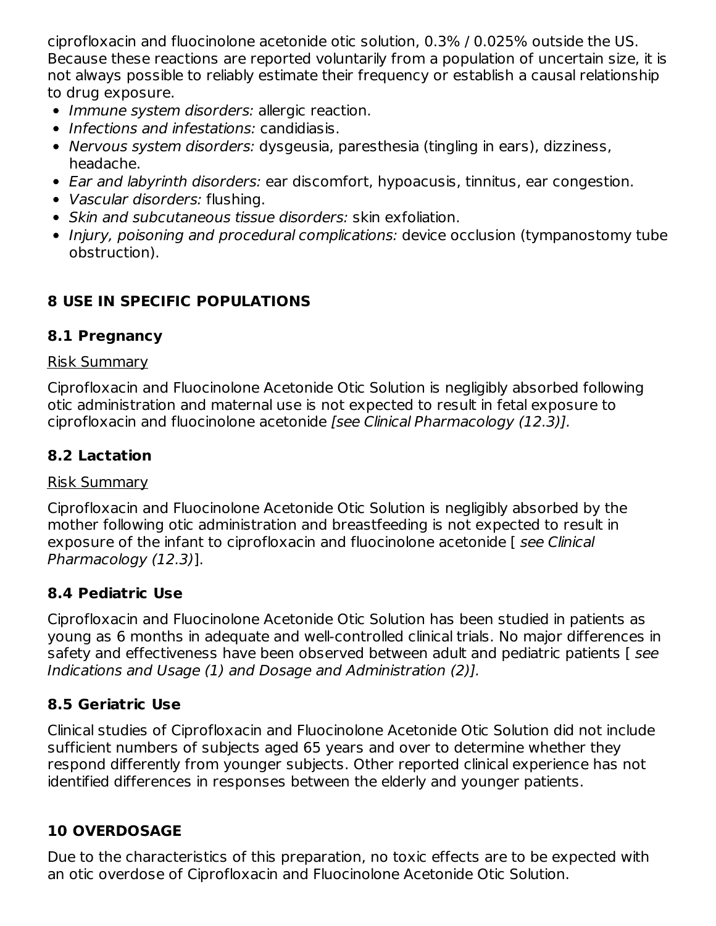ciprofloxacin and fluocinolone acetonide otic solution, 0.3% / 0.025% outside the US. Because these reactions are reported voluntarily from a population of uncertain size, it is not always possible to reliably estimate their frequency or establish a causal relationship to drug exposure.

- Immune system disorders: allergic reaction.
- Infections and infestations: candidiasis.
- Nervous system disorders: dysgeusia, paresthesia (tingling in ears), dizziness, headache.
- Ear and labyrinth disorders: ear discomfort, hypoacusis, tinnitus, ear congestion.
- Vascular disorders: flushing.
- Skin and subcutaneous tissue disorders: skin exfoliation.
- Injury, poisoning and procedural complications: device occlusion (tympanostomy tube obstruction).

# **8 USE IN SPECIFIC POPULATIONS**

### **8.1 Pregnancy**

#### Risk Summary

Ciprofloxacin and Fluocinolone Acetonide Otic Solution is negligibly absorbed following otic administration and maternal use is not expected to result in fetal exposure to ciprofloxacin and fluocinolone acetonide [see Clinical Pharmacology (12.3)].

# **8.2 Lactation**

### Risk Summary

Ciprofloxacin and Fluocinolone Acetonide Otic Solution is negligibly absorbed by the mother following otic administration and breastfeeding is not expected to result in exposure of the infant to ciprofloxacin and fluocinolone acetonide [ see Clinical Pharmacology (12.3)].

### **8.4 Pediatric Use**

Ciprofloxacin and Fluocinolone Acetonide Otic Solution has been studied in patients as young as 6 months in adequate and well-controlled clinical trials. No major differences in safety and effectiveness have been observed between adult and pediatric patients [ see Indications and Usage (1) and Dosage and Administration (2)].

# **8.5 Geriatric Use**

Clinical studies of Ciprofloxacin and Fluocinolone Acetonide Otic Solution did not include sufficient numbers of subjects aged 65 years and over to determine whether they respond differently from younger subjects. Other reported clinical experience has not identified differences in responses between the elderly and younger patients.

# **10 OVERDOSAGE**

Due to the characteristics of this preparation, no toxic effects are to be expected with an otic overdose of Ciprofloxacin and Fluocinolone Acetonide Otic Solution.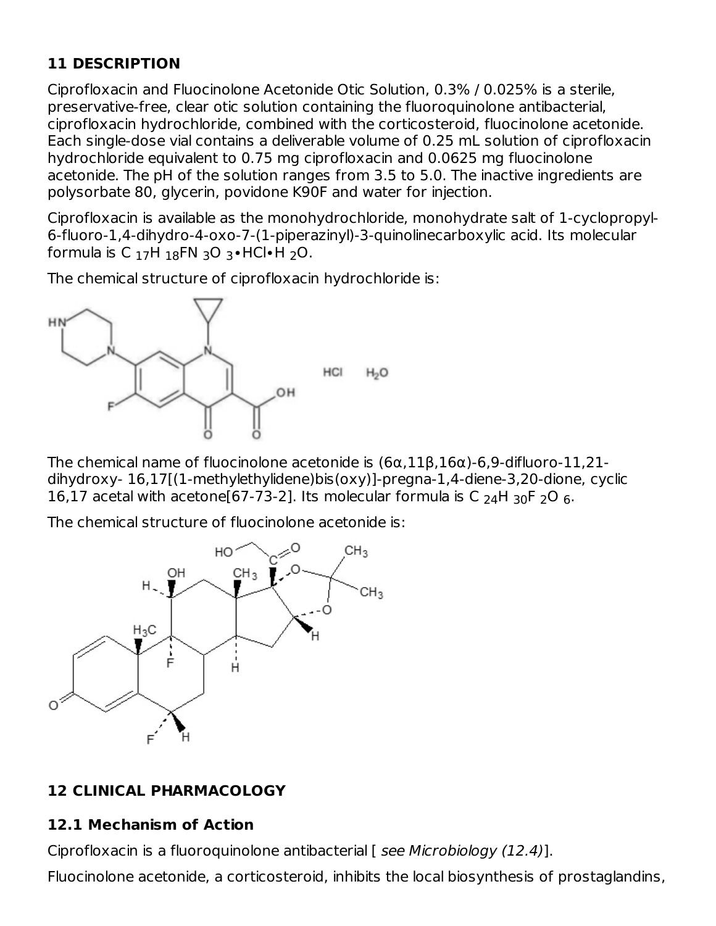## **11 DESCRIPTION**

Ciprofloxacin and Fluocinolone Acetonide Otic Solution, 0.3% / 0.025% is a sterile, preservative-free, clear otic solution containing the fluoroquinolone antibacterial, ciprofloxacin hydrochloride, combined with the corticosteroid, fluocinolone acetonide. Each single-dose vial contains a deliverable volume of 0.25 mL solution of ciprofloxacin hydrochloride equivalent to 0.75 mg ciprofloxacin and 0.0625 mg fluocinolone acetonide. The pH of the solution ranges from 3.5 to 5.0. The inactive ingredients are polysorbate 80, glycerin, povidone K90F and water for injection.

Ciprofloxacin is available as the monohydrochloride, monohydrate salt of 1-cyclopropyl-6-fluoro-1,4-dihydro-4-oxo-7-(1-piperazinyl)-3-quinolinecarboxylic acid. Its molecular formula is C  $_{17}$ H  $_{18}$ FN  $_{3}$ O  $_{3}$ ∙HCl∙H  $_{2}$ O.

The chemical structure of ciprofloxacin hydrochloride is:



The chemical name of fluocinolone acetonide is  $(6\alpha, 11\beta, 16\alpha)$ -6,9-difluoro-11,21dihydroxy- 16,17[(1-methylethylidene)bis(oxy)]-pregna-1,4-diene-3,20-dione, cyclic 16,17 acetal with acetone[67-73-2]. Its molecular formula is C  $_{24}$ H  $_{30}$ F  $_{2}$ O  $_{6}$ .

The chemical structure of fluocinolone acetonide is:



### **12 CLINICAL PHARMACOLOGY**

#### **12.1 Mechanism of Action**

Ciprofloxacin is a fluoroquinolone antibacterial [ see Microbiology (12.4)].

Fluocinolone acetonide, a corticosteroid, inhibits the local biosynthesis of prostaglandins,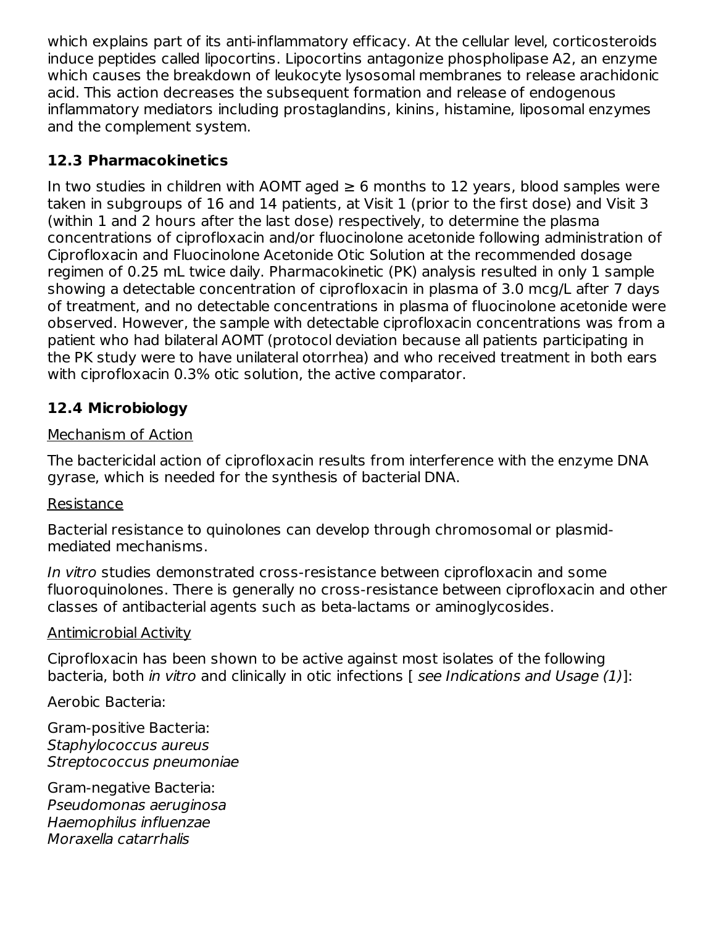which explains part of its anti-inflammatory efficacy. At the cellular level, corticosteroids induce peptides called lipocortins. Lipocortins antagonize phospholipase A2, an enzyme which causes the breakdown of leukocyte lysosomal membranes to release arachidonic acid. This action decreases the subsequent formation and release of endogenous inflammatory mediators including prostaglandins, kinins, histamine, liposomal enzymes and the complement system.

### **12.3 Pharmacokinetics**

In two studies in children with AOMT aged  $\geq 6$  months to 12 years, blood samples were taken in subgroups of 16 and 14 patients, at Visit 1 (prior to the first dose) and Visit 3 (within 1 and 2 hours after the last dose) respectively, to determine the plasma concentrations of ciprofloxacin and/or fluocinolone acetonide following administration of Ciprofloxacin and Fluocinolone Acetonide Otic Solution at the recommended dosage regimen of 0.25 mL twice daily. Pharmacokinetic (PK) analysis resulted in only 1 sample showing a detectable concentration of ciprofloxacin in plasma of 3.0 mcg/L after 7 days of treatment, and no detectable concentrations in plasma of fluocinolone acetonide were observed. However, the sample with detectable ciprofloxacin concentrations was from a patient who had bilateral AOMT (protocol deviation because all patients participating in the PK study were to have unilateral otorrhea) and who received treatment in both ears with ciprofloxacin 0.3% otic solution, the active comparator.

### **12.4 Microbiology**

#### Mechanism of Action

The bactericidal action of ciprofloxacin results from interference with the enzyme DNA gyrase, which is needed for the synthesis of bacterial DNA.

#### Resistance

Bacterial resistance to quinolones can develop through chromosomal or plasmidmediated mechanisms.

In vitro studies demonstrated cross-resistance between ciprofloxacin and some fluoroquinolones. There is generally no cross-resistance between ciprofloxacin and other classes of antibacterial agents such as beta-lactams or aminoglycosides.

#### Antimicrobial Activity

Ciprofloxacin has been shown to be active against most isolates of the following bacteria, both in vitro and clinically in otic infections [ see Indications and Usage (1)]:

Aerobic Bacteria:

Gram-positive Bacteria: Staphylococcus aureus Streptococcus pneumoniae

Gram-negative Bacteria: Pseudomonas aeruginosa Haemophilus influenzae Moraxella catarrhalis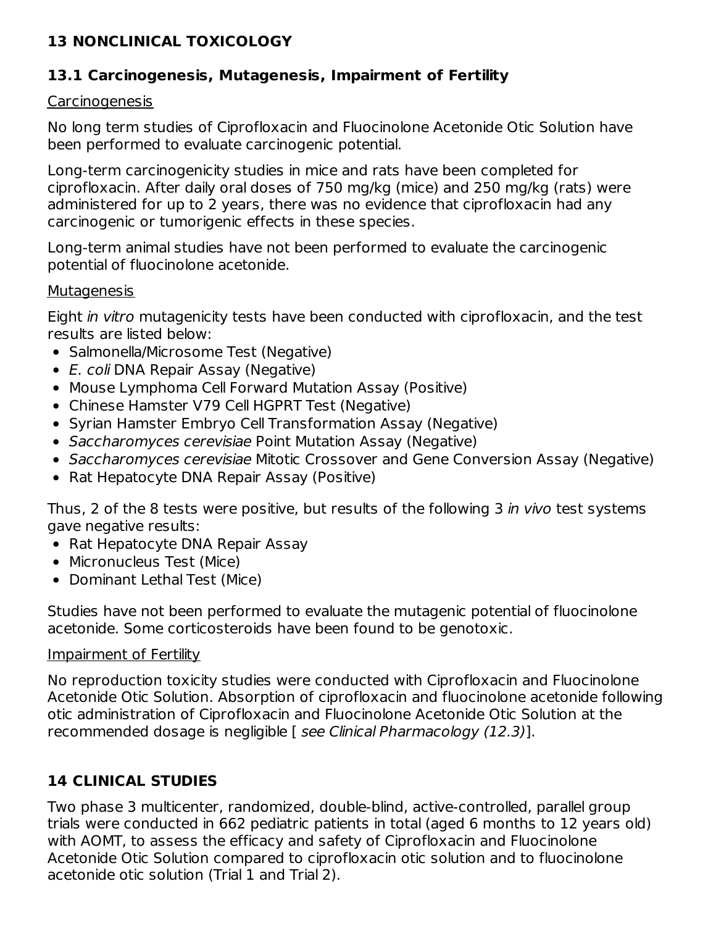### **13 NONCLINICAL TOXICOLOGY**

### **13.1 Carcinogenesis, Mutagenesis, Impairment of Fertility**

#### **Carcinogenesis**

No long term studies of Ciprofloxacin and Fluocinolone Acetonide Otic Solution have been performed to evaluate carcinogenic potential.

Long-term carcinogenicity studies in mice and rats have been completed for ciprofloxacin. After daily oral doses of 750 mg/kg (mice) and 250 mg/kg (rats) were administered for up to 2 years, there was no evidence that ciprofloxacin had any carcinogenic or tumorigenic effects in these species.

Long-term animal studies have not been performed to evaluate the carcinogenic potential of fluocinolone acetonide.

#### **Mutagenesis**

Eight in vitro mutagenicity tests have been conducted with ciprofloxacin, and the test results are listed below:

- Salmonella/Microsome Test (Negative)
- E. coli DNA Repair Assay (Negative)
- Mouse Lymphoma Cell Forward Mutation Assay (Positive)
- Chinese Hamster V79 Cell HGPRT Test (Negative)
- Syrian Hamster Embryo Cell Transformation Assay (Negative)
- Saccharomyces cerevisiae Point Mutation Assay (Negative)
- Saccharomyces cerevisiae Mitotic Crossover and Gene Conversion Assay (Negative)
- Rat Hepatocyte DNA Repair Assay (Positive)

Thus, 2 of the 8 tests were positive, but results of the following 3 in vivo test systems gave negative results:

- Rat Hepatocyte DNA Repair Assay
- Micronucleus Test (Mice)
- Dominant Lethal Test (Mice)

Studies have not been performed to evaluate the mutagenic potential of fluocinolone acetonide. Some corticosteroids have been found to be genotoxic.

#### Impairment of Fertility

No reproduction toxicity studies were conducted with Ciprofloxacin and Fluocinolone Acetonide Otic Solution. Absorption of ciprofloxacin and fluocinolone acetonide following otic administration of Ciprofloxacin and Fluocinolone Acetonide Otic Solution at the recommended dosage is negligible [ see Clinical Pharmacology (12.3)].

# **14 CLINICAL STUDIES**

Two phase 3 multicenter, randomized, double-blind, active-controlled, parallel group trials were conducted in 662 pediatric patients in total (aged 6 months to 12 years old) with AOMT, to assess the efficacy and safety of Ciprofloxacin and Fluocinolone Acetonide Otic Solution compared to ciprofloxacin otic solution and to fluocinolone acetonide otic solution (Trial 1 and Trial 2).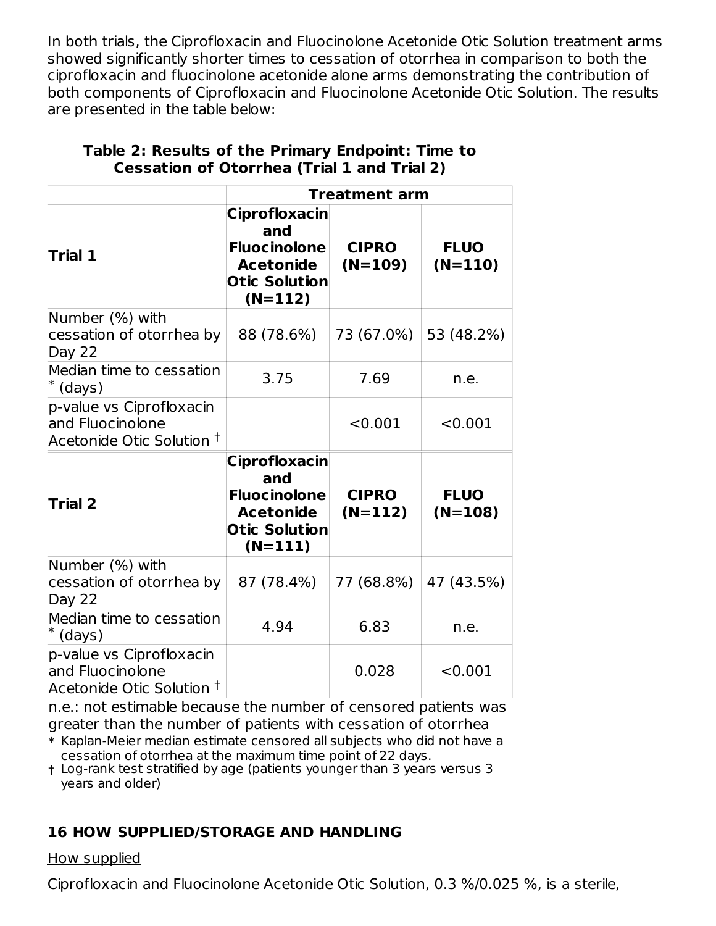In both trials, the Ciprofloxacin and Fluocinolone Acetonide Otic Solution treatment arms showed significantly shorter times to cessation of otorrhea in comparison to both the ciprofloxacin and fluocinolone acetonide alone arms demonstrating the contribution of both components of Ciprofloxacin and Fluocinolone Acetonide Otic Solution. The results are presented in the table below:

|                                                                                      | <b>Treatment arm</b>                                                                                        |                           |                          |
|--------------------------------------------------------------------------------------|-------------------------------------------------------------------------------------------------------------|---------------------------|--------------------------|
| <b>Trial 1</b>                                                                       | <b>Ciprofloxacin</b><br>and<br><b>Fluocinolone</b><br><b>Acetonide</b><br><b>Otic Solution</b><br>$(N=112)$ | <b>CIPRO</b><br>$(N=109)$ | <b>FLUO</b><br>$(N=110)$ |
| Number (%) with<br>cessation of otorrhea by<br>Day 22                                | 88 (78.6%)                                                                                                  | 73 (67.0%)                | 53 (48.2%)               |
| Median time to cessation<br>$^*$ (days)                                              | 3.75                                                                                                        | 7.69                      | n.e.                     |
| p-value vs Ciprofloxacin<br>and Fluocinolone<br>Acetonide Otic Solution <sup>†</sup> |                                                                                                             | < 0.001                   | < 0.001                  |
| <b>Trial 2</b>                                                                       | <b>Ciprofloxacin</b><br>and<br><b>Fluocinolone</b><br><b>Acetonide</b><br><b>Otic Solution</b><br>$(N=111)$ | <b>CIPRO</b><br>$(N=112)$ | <b>FLUO</b><br>$(N=108)$ |
| Number (%) with<br>cessation of otorrhea by<br>Day 22                                | 87 (78.4%)                                                                                                  | 77 (68.8%)                | 47 (43.5%)               |
| Median time to cessation<br>$*$ (days)                                               | 4.94                                                                                                        | 6.83                      | n.e.                     |
| p-value vs Ciprofloxacin<br>and Fluocinolone<br>Acetonide Otic Solution <sup>†</sup> |                                                                                                             | 0.028                     | < 0.001                  |

#### **Table 2: Results of the Primary Endpoint: Time to Cessation of Otorrhea (Trial 1 and Trial 2)**

n.e.: not estimable because the number of censored patients was greater than the number of patients with cessation of otorrhea

\* Kaplan-Meier median estimate censored all subjects who did not have a cessation of otorrhea at the maximum time point of 22 days.

† Log-rank test stratified by age (patients younger than 3 years versus 3 years and older)

# **16 HOW SUPPLIED/STORAGE AND HANDLING**

How supplied

Ciprofloxacin and Fluocinolone Acetonide Otic Solution, 0.3 %/0.025 %, is a sterile,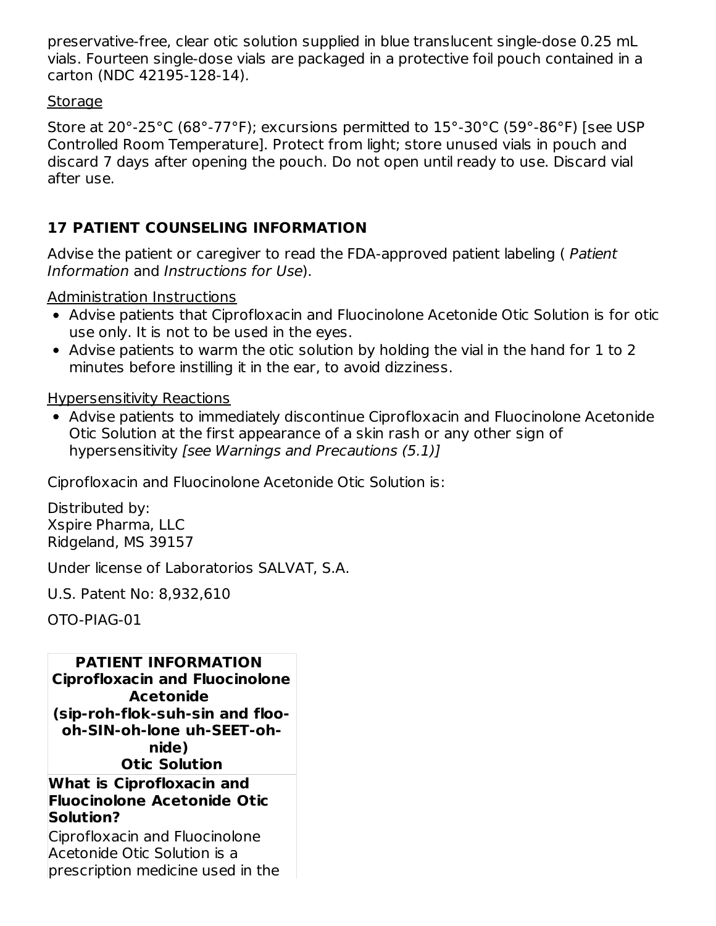preservative-free, clear otic solution supplied in blue translucent single-dose 0.25 mL vials. Fourteen single-dose vials are packaged in a protective foil pouch contained in a carton (NDC 42195-128-14).

#### **Storage**

Store at 20°-25°C (68°-77°F); excursions permitted to 15°-30°C (59°-86°F) [see USP Controlled Room Temperature]. Protect from light; store unused vials in pouch and discard 7 days after opening the pouch. Do not open until ready to use. Discard vial after use.

# **17 PATIENT COUNSELING INFORMATION**

Advise the patient or caregiver to read the FDA-approved patient labeling ( Patient Information and Instructions for Use).

Administration Instructions

- Advise patients that Ciprofloxacin and Fluocinolone Acetonide Otic Solution is for otic use only. It is not to be used in the eyes.
- Advise patients to warm the otic solution by holding the vial in the hand for 1 to 2 minutes before instilling it in the ear, to avoid dizziness.

### Hypersensitivity Reactions

Advise patients to immediately discontinue Ciprofloxacin and Fluocinolone Acetonide Otic Solution at the first appearance of a skin rash or any other sign of hypersensitivity [see Warnings and Precautions (5.1)]

Ciprofloxacin and Fluocinolone Acetonide Otic Solution is:

Distributed by: Xspire Pharma, LLC Ridgeland, MS 39157

Under license of Laboratorios SALVAT, S.A.

U.S. Patent No: 8,932,610

OTO-PIAG-01

**PATIENT INFORMATION Ciprofloxacin and Fluocinolone Acetonide (sip-roh-flok-suh-sin and floooh-SIN-oh-lone uh-SEET-ohnide) Otic Solution**

#### **What is Ciprofloxacin and Fluocinolone Acetonide Otic Solution?**

Ciprofloxacin and Fluocinolone Acetonide Otic Solution is a prescription medicine used in the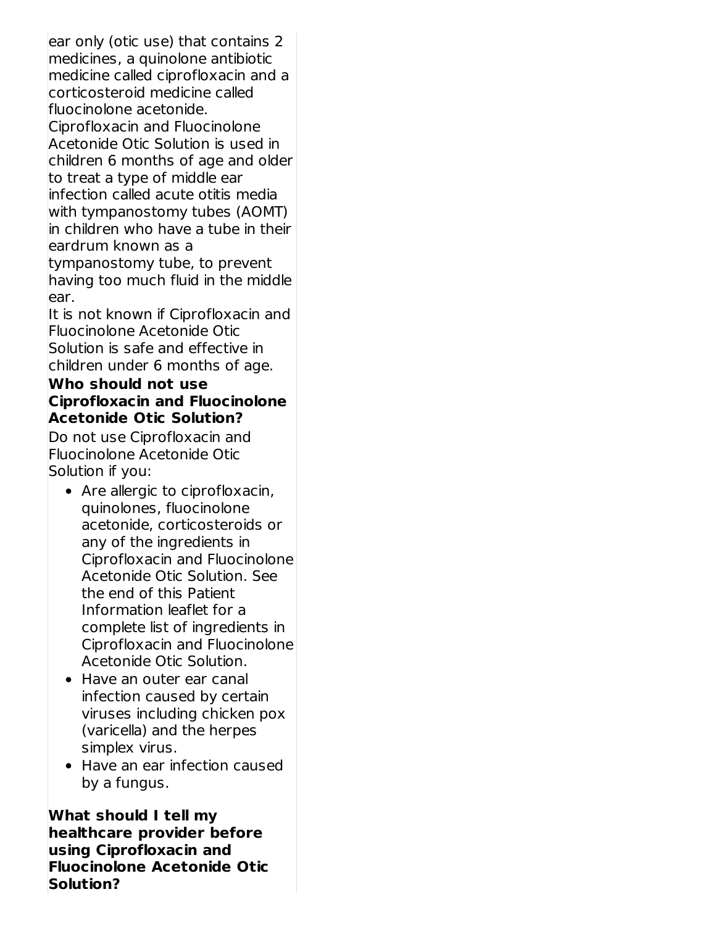ear only (otic use) that contains 2 medicines, a quinolone antibiotic medicine called ciprofloxacin and a corticosteroid medicine called fluocinolone acetonide.

Ciprofloxacin and Fluocinolone Acetonide Otic Solution is used in children 6 months of age and older to treat a type of middle ear infection called acute otitis media with tympanostomy tubes (AOMT) in children who have a tube in their eardrum known as a

tympanostomy tube, to prevent having too much fluid in the middle ear.

It is not known if Ciprofloxacin and Fluocinolone Acetonide Otic Solution is safe and effective in children under 6 months of age.

#### **Who should not use Ciprofloxacin and Fluocinolone Acetonide Otic Solution?**

Do not use Ciprofloxacin and Fluocinolone Acetonide Otic Solution if you:

- Are allergic to ciprofloxacin, quinolones, fluocinolone acetonide, corticosteroids or any of the ingredients in Ciprofloxacin and Fluocinolone Acetonide Otic Solution. See the end of this Patient Information leaflet for a complete list of ingredients in Ciprofloxacin and Fluocinolone Acetonide Otic Solution.
- Have an outer ear canal infection caused by certain viruses including chicken pox (varicella) and the herpes simplex virus.
- Have an ear infection caused by a fungus.

**What should I tell my healthcare provider before using Ciprofloxacin and Fluocinolone Acetonide Otic Solution?**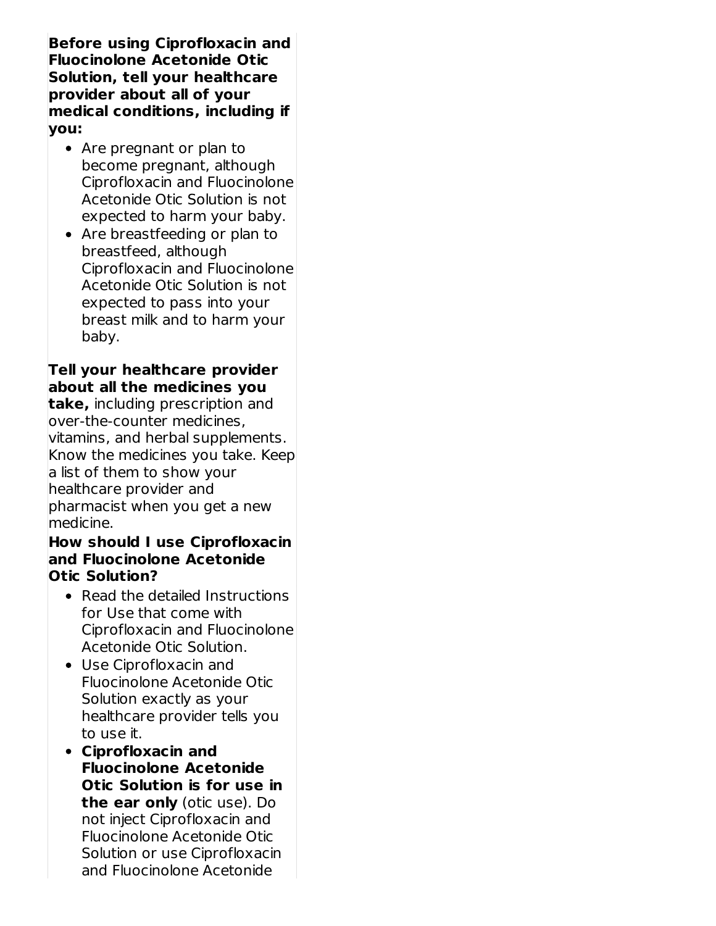**Before using Ciprofloxacin and Fluocinolone Acetonide Otic Solution, tell your healthcare provider about all of your medical conditions, including if you:**

- Are pregnant or plan to become pregnant, although Ciprofloxacin and Fluocinolone Acetonide Otic Solution is not expected to harm your baby.
- Are breastfeeding or plan to breastfeed, although Ciprofloxacin and Fluocinolone Acetonide Otic Solution is not expected to pass into your breast milk and to harm your baby.

### **Tell your healthcare provider about all the medicines you**

**take,** including prescription and over-the-counter medicines, vitamins, and herbal supplements. Know the medicines you take. Keep a list of them to show your healthcare provider and pharmacist when you get a new medicine.

#### **How should I use Ciprofloxacin and Fluocinolone Acetonide Otic Solution?**

- Read the detailed Instructions for Use that come with Ciprofloxacin and Fluocinolone Acetonide Otic Solution.
- Use Ciprofloxacin and Fluocinolone Acetonide Otic Solution exactly as your healthcare provider tells you to use it.
- **Ciprofloxacin and Fluocinolone Acetonide Otic Solution is for use in the ear only** (otic use). Do not inject Ciprofloxacin and Fluocinolone Acetonide Otic Solution or use Ciprofloxacin and Fluocinolone Acetonide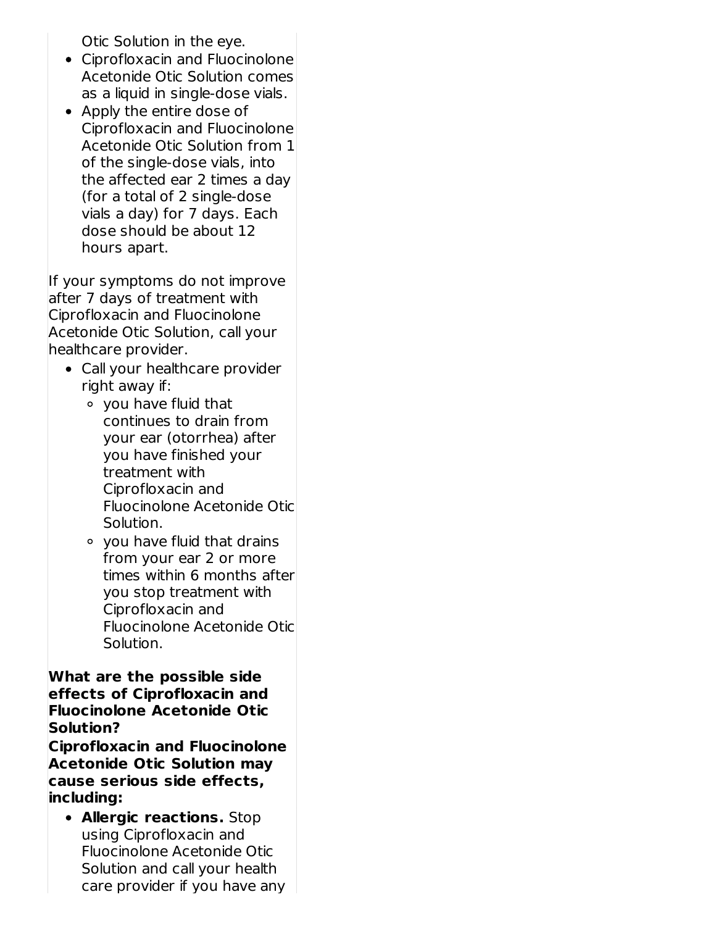Otic Solution in the eye.

- Ciprofloxacin and Fluocinolone Acetonide Otic Solution comes as a liquid in single-dose vials.
- Apply the entire dose of Ciprofloxacin and Fluocinolone Acetonide Otic Solution from 1 of the single-dose vials, into the affected ear 2 times a day (for a total of 2 single-dose vials a day) for 7 days. Each dose should be about 12 hours apart.

If your symptoms do not improve after 7 days of treatment with Ciprofloxacin and Fluocinolone Acetonide Otic Solution, call your healthcare provider.

- Call your healthcare provider right away if:
	- you have fluid that continues to drain from your ear (otorrhea) after you have finished your treatment with Ciprofloxacin and Fluocinolone Acetonide Otic Solution.
	- you have fluid that drains from your ear 2 or more times within 6 months after you stop treatment with Ciprofloxacin and Fluocinolone Acetonide Otic Solution.

#### **What are the possible side effects of Ciprofloxacin and Fluocinolone Acetonide Otic Solution?**

**Ciprofloxacin and Fluocinolone Acetonide Otic Solution may cause serious side effects, including:**

**Allergic reactions.** Stop using Ciprofloxacin and Fluocinolone Acetonide Otic Solution and call your health care provider if you have any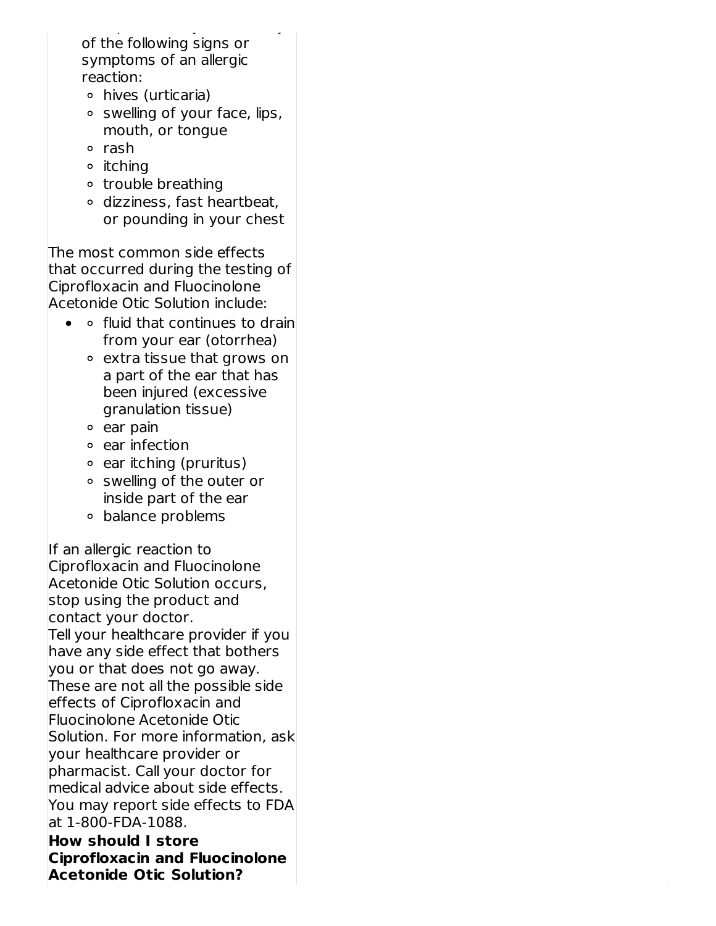care provider if you have any of the following signs or symptoms of an allergic reaction:

- hives (urticaria)
- $\circ$  swelling of your face, lips, mouth, or tongue
- o rash
- **o** itching
- o trouble breathing
- dizziness, fast heartbeat, or pounding in your chest

The most common side effects that occurred during the testing of Ciprofloxacin and Fluocinolone Acetonide Otic Solution include:

- $\bullet$   $\circ$  fluid that continues to drain from your ear (otorrhea)
	- extra tissue that grows on a part of the ear that has been injured (excessive granulation tissue)
	- $\circ$  ear pain
	- ear infection
	- $\circ$  ear itching (pruritus)
	- swelling of the outer or inside part of the ear
	- balance problems

If an allergic reaction to Ciprofloxacin and Fluocinolone Acetonide Otic Solution occurs, stop using the product and contact your doctor. Tell your healthcare provider if you have any side effect that bothers you or that does not go away. These are not all the possible side effects of Ciprofloxacin and Fluocinolone Acetonide Otic Solution. For more information, ask your healthcare provider or pharmacist. Call your doctor for medical advice about side effects. You may report side effects to FDA at 1-800-FDA-1088.

**How should I store Ciprofloxacin and Fluocinolone Acetonide Otic Solution?**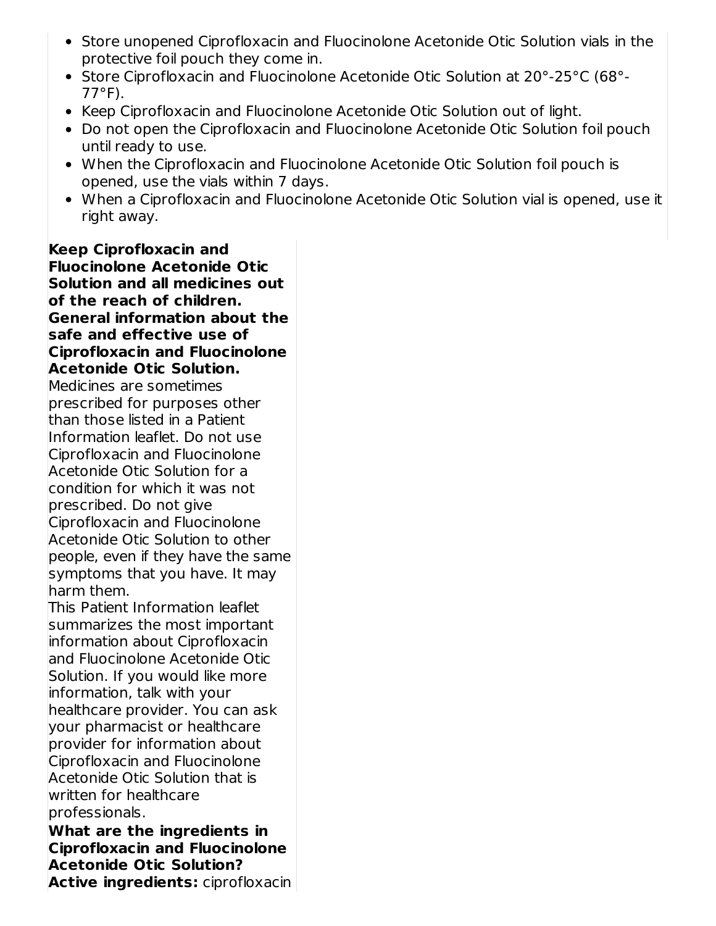- Store unopened Ciprofloxacin and Fluocinolone Acetonide Otic Solution vials in the protective foil pouch they come in.
- Store Ciprofloxacin and Fluocinolone Acetonide Otic Solution at 20°-25°C (68°- 77°F).
- Keep Ciprofloxacin and Fluocinolone Acetonide Otic Solution out of light.
- Do not open the Ciprofloxacin and Fluocinolone Acetonide Otic Solution foil pouch until ready to use.
- When the Ciprofloxacin and Fluocinolone Acetonide Otic Solution foil pouch is opened, use the vials within 7 days.
- When a Ciprofloxacin and Fluocinolone Acetonide Otic Solution vial is opened, use it right away.

**Keep Ciprofloxacin and Fluocinolone Acetonide Otic Solution and all medicines out of the reach of children. General information about the safe and effective use of Ciprofloxacin and Fluocinolone Acetonide Otic Solution.** Medicines are sometimes prescribed for purposes other than those listed in a Patient Information leaflet. Do not use Ciprofloxacin and Fluocinolone Acetonide Otic Solution for a condition for which it was not prescribed. Do not give Ciprofloxacin and Fluocinolone Acetonide Otic Solution to other people, even if they have the same symptoms that you have. It may harm them. This Patient Information leaflet summarizes the most important information about Ciprofloxacin and Fluocinolone Acetonide Otic Solution. If you would like more information, talk with your healthcare provider. You can ask your pharmacist or healthcare provider for information about Ciprofloxacin and Fluocinolone Acetonide Otic Solution that is written for healthcare professionals.

**What are the ingredients in Ciprofloxacin and Fluocinolone Acetonide Otic Solution? Active ingredients:** ciprofloxacin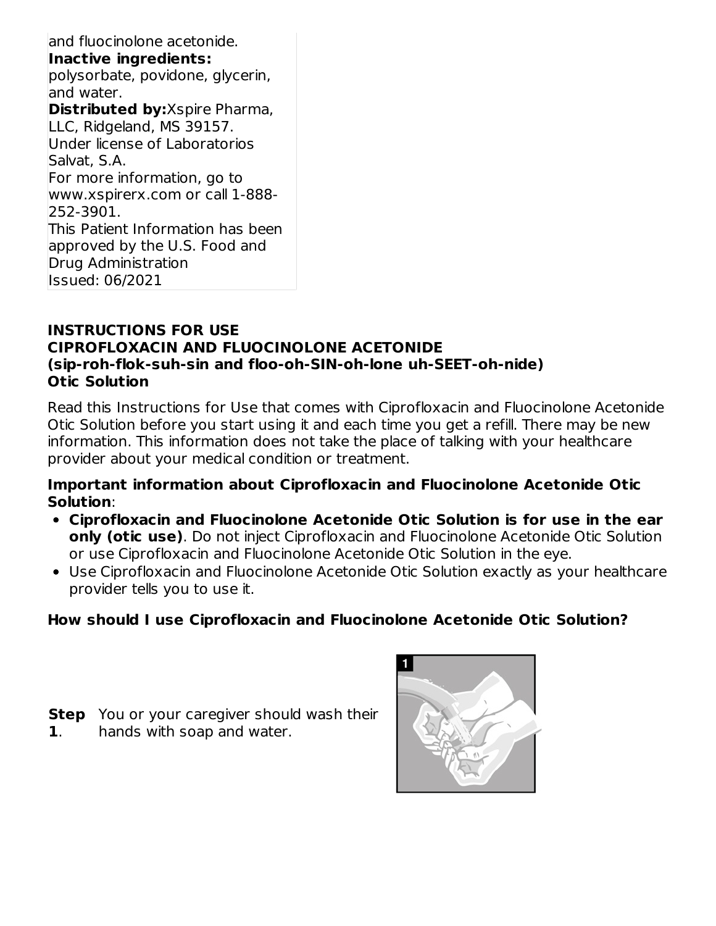and fluocinolone acetonide. **Inactive ingredients:** polysorbate, povidone, glycerin, and water. **Distributed by:**Xspire Pharma, LLC, Ridgeland, MS 39157. Under license of Laboratorios Salvat, S.A. For more information, go to www.xspirerx.com or call 1-888- 252-3901. This Patient Information has been approved by the U.S. Food and Drug Administration Issued: 06/2021

#### **INSTRUCTIONS FOR USE CIPROFLOXACIN AND FLUOCINOLONE ACETONIDE (sip-roh-flok-suh-sin and floo-oh-SIN-oh-lone uh-SEET-oh-nide) Otic Solution**

Read this Instructions for Use that comes with Ciprofloxacin and Fluocinolone Acetonide Otic Solution before you start using it and each time you get a refill. There may be new information. This information does not take the place of talking with your healthcare provider about your medical condition or treatment.

#### **Important information about Ciprofloxacin and Fluocinolone Acetonide Otic Solution**:

- **Ciprofloxacin and Fluocinolone Acetonide Otic Solution is for use in the ear only (otic use)**. Do not inject Ciprofloxacin and Fluocinolone Acetonide Otic Solution or use Ciprofloxacin and Fluocinolone Acetonide Otic Solution in the eye.
- Use Ciprofloxacin and Fluocinolone Acetonide Otic Solution exactly as your healthcare provider tells you to use it.

# **How should I use Ciprofloxacin and Fluocinolone Acetonide Otic Solution?**

- **Step** You or your caregiver should wash their
- **1**. hands with soap and water.

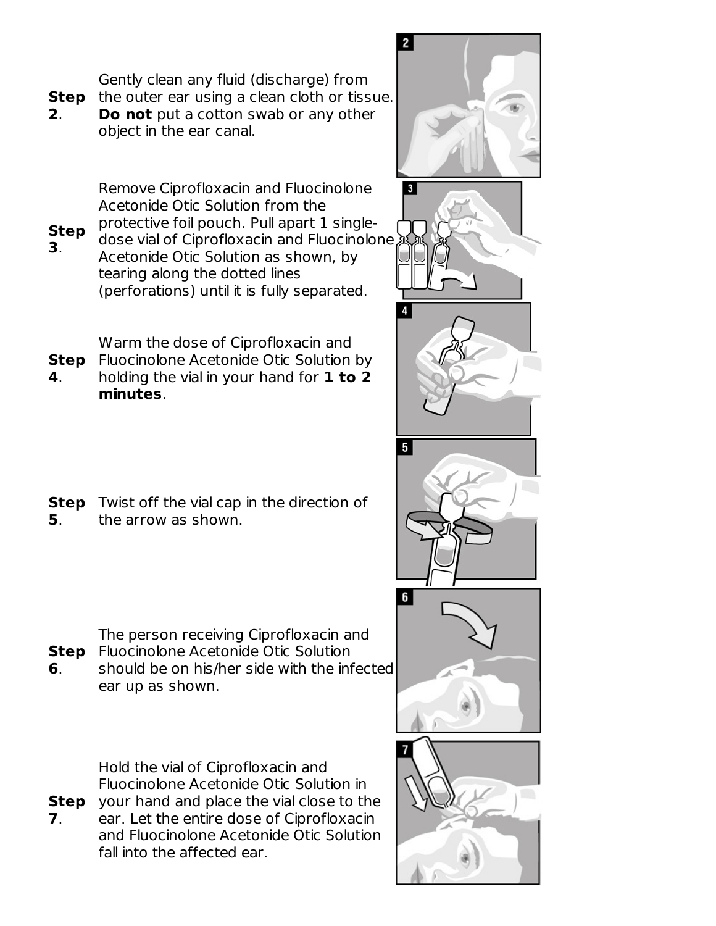Gently clean any fluid (discharge) from

**Step** the outer ear using a clean cloth or tissue. **2**. **Do not** put a cotton swab or any other object in the ear canal.

> Remove Ciprofloxacin and Fluocinolone Acetonide Otic Solution from the

**Step 3**. protective foil pouch. Pull apart 1 singledose vial of Ciprofloxacin and Fluocinolone Acetonide Otic Solution as shown, by tearing along the dotted lines (perforations) until it is fully separated.

Warm the dose of Ciprofloxacin and

- **Step** Fluocinolone Acetonide Otic Solution by
- **4**. holding the vial in your hand for **1 to 2 minutes**.
- **Step** Twist off the vial cap in the direction of **5**. the arrow as shown.



**Step** Fluocinolone Acetonide Otic Solution **6**. should be on his/her side with the infected

ear up as shown.

**Step** your hand and place the vial close to the Hold the vial of Ciprofloxacin and Fluocinolone Acetonide Otic Solution in

**7**. ear. Let the entire dose of Ciprofloxacin and Fluocinolone Acetonide Otic Solution fall into the affected ear.

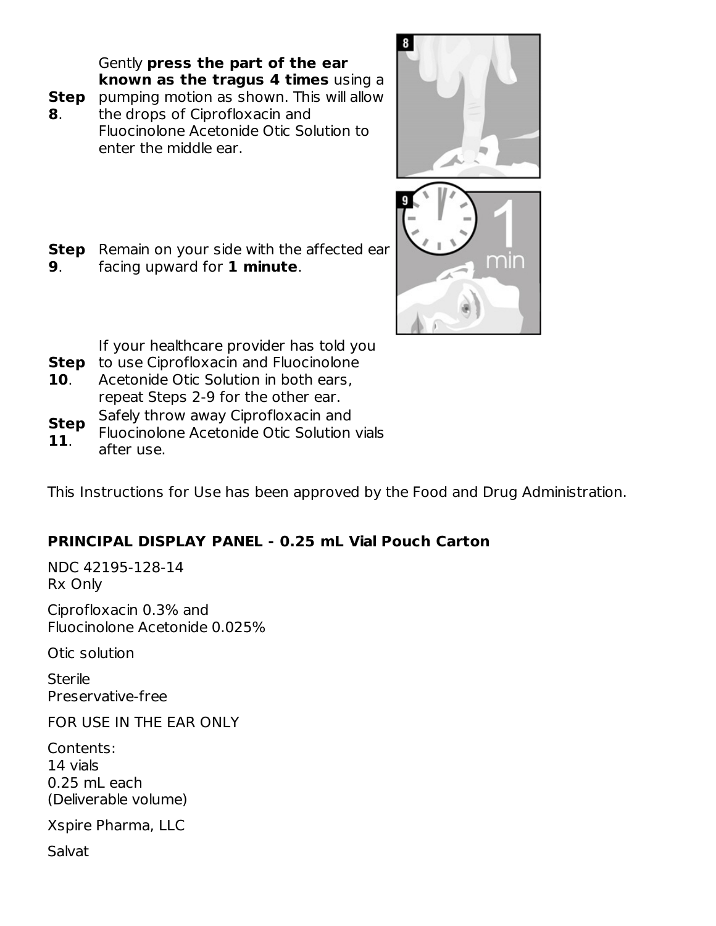Gently **press the part of the ear known as the tragus 4 times** using a

- **Step** pumping motion as shown. This will allow
- **8**. the drops of Ciprofloxacin and Fluocinolone Acetonide Otic Solution to enter the middle ear.





- **Step** Remain on your side with the affected ear **9**. facing upward for **1 minute**.
	- If your healthcare provider has told you
- **Step** to use Ciprofloxacin and Fluocinolone
- **10**. Acetonide Otic Solution in both ears, repeat Steps 2-9 for the other ear.
- **Step** Safely throw away Ciprofloxacin and
- **11**. Fluocinolone Acetonide Otic Solution vials after use.

This Instructions for Use has been approved by the Food and Drug Administration.

# **PRINCIPAL DISPLAY PANEL - 0.25 mL Vial Pouch Carton**

NDC 42195-128-14 Rx Only

Ciprofloxacin 0.3% and Fluocinolone Acetonide 0.025%

Otic solution

**Sterile** Preservative-free

FOR USE IN THE EAR ONLY

Contents: 14 vials 0.25 mL each (Deliverable volume)

Xspire Pharma, LLC

Salvat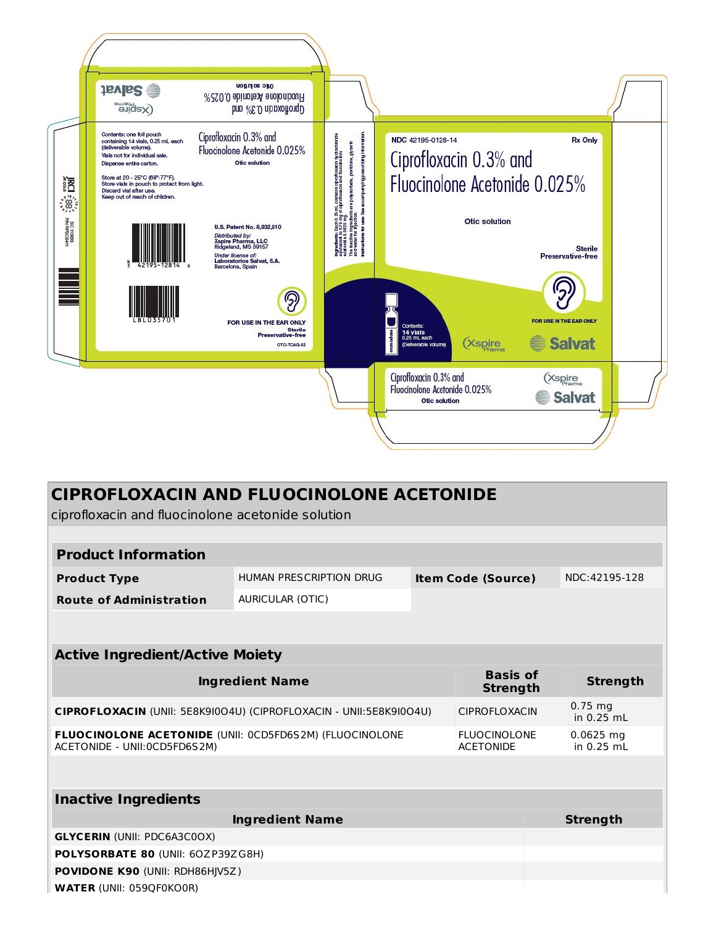

| <b>CIPROFLOXACIN AND FLUOCINOLONE ACETONIDE</b>                                                                                     |                                                      |  |  |                           |               |
|-------------------------------------------------------------------------------------------------------------------------------------|------------------------------------------------------|--|--|---------------------------|---------------|
| ciprofloxacin and fluocinolone acetonide solution                                                                                   |                                                      |  |  |                           |               |
|                                                                                                                                     |                                                      |  |  |                           |               |
| <b>Product Information</b>                                                                                                          |                                                      |  |  |                           |               |
| <b>Product Type</b>                                                                                                                 | HUMAN PRESCRIPTION DRUG<br><b>Item Code (Source)</b> |  |  |                           | NDC:42195-128 |
| <b>Route of Administration</b>                                                                                                      | <b>AURICULAR (OTIC)</b>                              |  |  |                           |               |
|                                                                                                                                     |                                                      |  |  |                           |               |
|                                                                                                                                     |                                                      |  |  |                           |               |
| <b>Active Ingredient/Active Moiety</b>                                                                                              |                                                      |  |  |                           |               |
| <b>Basis of</b><br><b>Ingredient Name</b><br><b>Strength</b>                                                                        |                                                      |  |  | <b>Strength</b>           |               |
| CIPROFLOXACIN (UNII: 5E8K9I0O4U) (CIPROFLOXACIN - UNII:5E8K9I0O4U)<br><b>CIPROFLOXACIN</b>                                          |                                                      |  |  | $0.75$ mg<br>in 0.25 mL   |               |
| FLUOCINOLONE ACETONIDE (UNII: 0CD5FD6S2M) (FLUOCINOLONE<br><b>FLUOCINOLONE</b><br>ACETONIDE - UNII: 0CD5FD6S2M)<br><b>ACETONIDE</b> |                                                      |  |  | $0.0625$ mg<br>in 0.25 mL |               |
|                                                                                                                                     |                                                      |  |  |                           |               |
|                                                                                                                                     |                                                      |  |  |                           |               |
| <b>Inactive Ingredients</b>                                                                                                         |                                                      |  |  |                           |               |
| <b>Ingredient Name</b>                                                                                                              |                                                      |  |  | <b>Strength</b>           |               |
| <b>GLYCERIN (UNII: PDC6A3C0OX)</b>                                                                                                  |                                                      |  |  |                           |               |
| POLYSORBATE 80 (UNII: 60ZP39ZG8H)                                                                                                   |                                                      |  |  |                           |               |
| <b>POVIDONE K90 (UNII: RDH86HIV5Z)</b>                                                                                              |                                                      |  |  |                           |               |
| <b>WATER (UNII: 059QF0KO0R)</b>                                                                                                     |                                                      |  |  |                           |               |